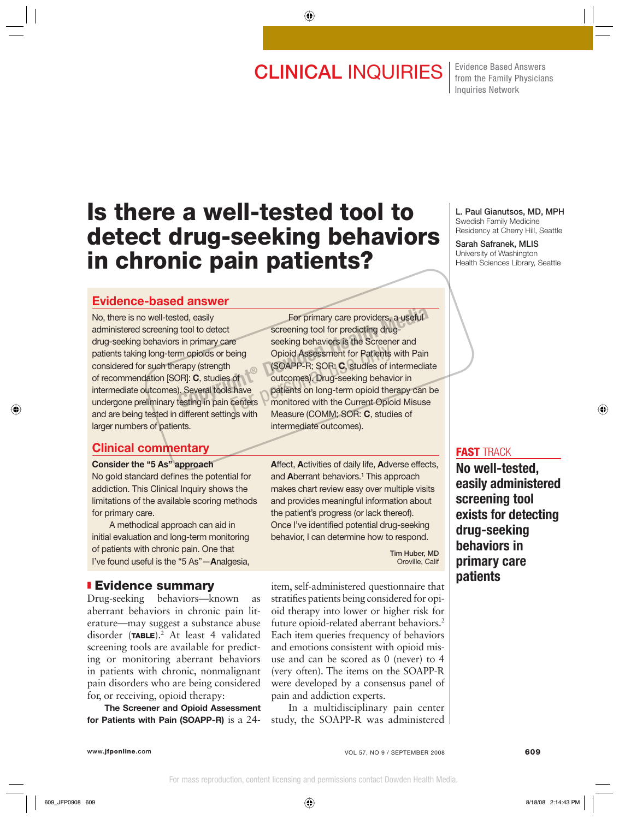# **CLINICAL INQUIRIES**  $\frac{Fvidence Based Answers}{from the Family Physics}$

from the Family Physicians Inquiries Network

# **Is there a well-tested tool to detect drug-seeking behaviors in chronic pain patients?**

## **Evidence-based answer**

No, there is no well-tested, easily administered screening tool to detect drug-seeking behaviors in primary care patients taking long-term opioids or being considered for such therapy (strength of recommendation [SOR]: **C**, studies of intermediate outcomes). Several tools have undergone preliminary testing in pain centers and are being tested in different settings with larger numbers of patients.

### **Clinical commentary**

#### **Consider the "5 As" approach**

No gold standard defines the potential for addiction. This Clinical Inquiry shows the limitations of the available scoring methods for primary care.

 A methodical approach can aid in initial evaluation and long-term monitoring of patients with chronic pain. One that I've found useful is the "5 As"—**A**nalgesia,

#### ❚ **Evidence summary**

Drug-seeking behaviors—known as aberrant behaviors in chronic pain literature—may suggest a substance abuse disorder (**TABLE**).2 At least 4 validated screening tools are available for predicting or monitoring aberrant behaviors in patients with chronic, nonmalignant pain disorders who are being considered for, or receiving, opioid therapy:

**The Screener and Opioid Assessment for Patients with Pain (SOAPP-R)** is a 24-

 For primary care providers, a useful screening tool for predicting drugseeking behaviors is the Screener and Opioid Assessment for Patients with Pain (SOAPP-R; SOR: **C**, studies of intermediate outcomes). Drug-seeking behavior in patients on long-term opioid therapy can be monitored with the Current Opioid Misuse Measure (COMM; SOR: **C**, studies of intermediate outcomes). For primary care providers, a useful<br>tool to detect<br>in primary care<br>m opioids or being<br>m opioid Assessment for Patients with Pain<br>rapy (strength (SOAPP-R; SOR: C, studies of intermediate<br>DR]: C, studies of (SOAPP-R; SOR: C For personal opioid Assessment for Patients<br>
SOAPP-R; SOR: C, studies of in<br>
of anticomes). Drug-seeking behavior<br>
shave patients on long-term opioid the<br>
centers<br>
Massum (COMM: COP, C, studies

> **A**ffect, **A**ctivities of daily life, **A**dverse effects, and **A**berrant behaviors.<sup>1</sup> This approach makes chart review easy over multiple visits and provides meaningful information about the patient's progress (or lack thereof). Once I've identified potential drug-seeking behavior, I can determine how to respond.

> > **Tim Huber, MD** Oroville, Calif

item, self-administered questionnaire that stratifies patients being considered for opioid therapy into lower or higher risk for future opioid-related aberrant behaviors.<sup>2</sup> Each item queries frequency of behaviors and emotions consistent with opioid misuse and can be scored as 0 (never) to 4 (very often). The items on the SOAPP-R were developed by a consensus panel of pain and addiction experts.

In a multidisciplinary pain center study, the SOAPP-R was administered **L. Paul Gianutsos, MD, MPH** Swedish Family Medicine Residency at Cherry Hill, Seattle

**Sarah Safranek, MLIS** University of Washington Health Sciences Library, Seattle

#### **FAST** TRACK

**No well-tested, easily administered screening tool exists for detecting drug-seeking behaviors in primary care patients**